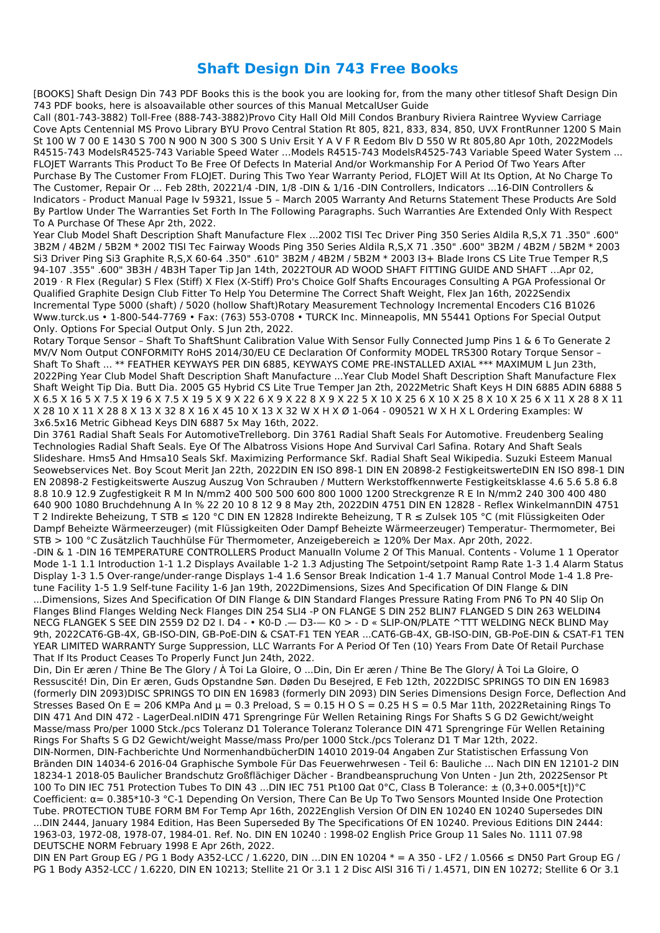## **Shaft Design Din 743 Free Books**

[BOOKS] Shaft Design Din 743 PDF Books this is the book you are looking for, from the many other titlesof Shaft Design Din 743 PDF books, here is alsoavailable other sources of this Manual MetcalUser Guide

Call (801-743-3882) Toll-Free (888-743-3882)Provo City Hall Old Mill Condos Branbury Riviera Raintree Wyview Carriage Cove Apts Centennial MS Provo Library BYU Provo Central Station Rt 805, 821, 833, 834, 850, UVX FrontRunner 1200 S Main St 100 W 7 00 E 1430 S 700 N 900 N 300 S 300 S Univ Ersit Y A V F R Eedom Blv D 550 W Rt 805,80 Apr 10th, 2022Models R4515-743 ModelsR4525-743 Variable Speed Water …Models R4515-743 ModelsR4525-743 Variable Speed Water System ... FLOJET Warrants This Product To Be Free Of Defects In Material And/or Workmanship For A Period Of Two Years After Purchase By The Customer From FLOJET. During This Two Year Warranty Period, FLOJET Will At Its Option, At No Charge To The Customer, Repair Or ... Feb 28th, 20221/4 -DIN, 1/8 -DIN & 1/16 -DIN Controllers, Indicators ...16-DIN Controllers & Indicators - Product Manual Page Iv 59321, Issue 5 – March 2005 Warranty And Returns Statement These Products Are Sold By Partlow Under The Warranties Set Forth In The Following Paragraphs. Such Warranties Are Extended Only With Respect To A Purchase Of These Apr 2th, 2022.

Year Club Model Shaft Description Shaft Manufacture Flex ...2002 TISI Tec Driver Ping 350 Series Aldila R,S,X 71 .350" .600" 3B2M / 4B2M / 5B2M \* 2002 TISI Tec Fairway Woods Ping 350 Series Aldila R,S,X 71 .350" .600" 3B2M / 4B2M / 5B2M \* 2003 Si3 Driver Ping Si3 Graphite R,S,X 60-64 .350" .610" 3B2M / 4B2M / 5B2M \* 2003 I3+ Blade Irons CS Lite True Temper R,S 94-107 .355" .600" 3B3H / 4B3H Taper Tip Jan 14th, 2022TOUR AD WOOD SHAFT FITTING GUIDE AND SHAFT …Apr 02, 2019 · R Flex (Regular) S Flex (Stiff) X Flex (X-Stiff) Pro's Choice Golf Shafts Encourages Consulting A PGA Professional Or Qualified Graphite Design Club Fitter To Help You Determine The Correct Shaft Weight, Flex Jan 16th, 2022Sendix Incremental Type 5000 (shaft) / 5020 (hollow Shaft)Rotary Measurement Technology Incremental Encoders C16 B1026 Www.turck.us • 1-800-544-7769 • Fax: (763) 553-0708 • TURCK Inc. Minneapolis, MN 55441 Options For Special Output Only. Options For Special Output Only. S Jun 2th, 2022.

Rotary Torque Sensor – Shaft To ShaftShunt Calibration Value With Sensor Fully Connected Jump Pins 1 & 6 To Generate 2 MV/V Nom Output CONFORMITY RoHS 2014/30/EU CE Declaration Of Conformity MODEL TRS300 Rotary Torque Sensor – Shaft To Shaft ... \*\* FEATHER KEYWAYS PER DIN 6885, KEYWAYS COME PRE-INSTALLED AXIAL \*\*\* MAXIMUM L Jun 23th, 2022Ping Year Club Model Shaft Description Shaft Manufacture ...Year Club Model Shaft Description Shaft Manufacture Flex Shaft Weight Tip Dia. Butt Dia. 2005 G5 Hybrid CS Lite True Temper Jan 2th, 2022Metric Shaft Keys H DIN 6885 ADIN 6888 5 X 6.5 X 16 5 X 7.5 X 19 6 X 7.5 X 19 5 X 9 X 22 6 X 9 X 22 8 X 9 X 22 5 X 10 X 25 6 X 10 X 25 8 X 10 X 25 6 X 11 X 28 8 X 11 X 28 10 X 11 X 28 8 X 13 X 32 8 X 16 X 45 10 X 13 X 32 W X H X Ø 1-064 - 090521 W X H X L Ordering Examples: W 3x6.5x16 Metric Gibhead Keys DIN 6887 5x May 16th, 2022.

Din 3761 Radial Shaft Seals For AutomotiveTrelleborg. Din 3761 Radial Shaft Seals For Automotive. Freudenberg Sealing Technologies Radial Shaft Seals. Eye Of The Albatross Visions Hope And Survival Carl Safina. Rotary And Shaft Seals Slideshare. Hms5 And Hmsa10 Seals Skf. Maximizing Performance Skf. Radial Shaft Seal Wikipedia. Suzuki Esteem Manual Seowebservices Net. Boy Scout Merit Jan 22th, 2022DIN EN ISO 898-1 DIN EN 20898-2 FestigkeitswerteDIN EN ISO 898-1 DIN EN 20898-2 Festigkeitswerte Auszug Auszug Von Schrauben / Muttern Werkstoffkennwerte Festigkeitsklasse 4.6 5.6 5.8 6.8 8.8 10.9 12.9 Zugfestigkeit R M In N/mm2 400 500 500 600 800 1000 1200 Streckgrenze R E In N/mm2 240 300 400 480 640 900 1080 Bruchdehnung A In % 22 20 10 8 12 9 8 May 2th, 2022DIN 4751 DIN EN 12828 - Reflex WinkelmannDIN 4751 T 2 Indirekte Beheizung, T STB ≤ 120 °C DIN EN 12828 Indirekte Beheizung, T R ≤ Zulsek 105 °C (mit Flüssigkeiten Oder Dampf Beheizte Wärmeerzeuger) (mit Flüssigkeiten Oder Dampf Beheizte Wärmeerzeuger) Temperatur- Thermometer, Bei STB > 100 °C Zusätzlich Tauchhülse Für Thermometer, Anzeigebereich ≥ 120% Der Max. Apr 20th, 2022. -DIN & 1 -DIN 16 TEMPERATURE CONTROLLERS Product ManualIn Volume 2 Of This Manual. Contents - Volume 1 1 Operator Mode 1-1 1.1 Introduction 1-1 1.2 Displays Available 1-2 1.3 Adjusting The Setpoint/setpoint Ramp Rate 1-3 1.4 Alarm Status Display 1-3 1.5 Over-range/under-range Displays 1-4 1.6 Sensor Break Indication 1-4 1.7 Manual Control Mode 1-4 1.8 Pretune Facility 1-5 1.9 Self-tune Facility 1-6 Jan 19th, 2022Dimensions, Sizes And Specification Of DIN Flange & DIN ...Dimensions, Sizes And Specification Of DIN Flange & DIN Standard Flanges Pressure Rating From PN6 To PN 40 Slip On Flanges Blind Flanges Welding Neck Flanges DIN 254 SLI4 -P ON FLANGE S DIN 252 BLIN7 FLANGED S DIN 263 WELDIN4 NECG FLANGEK S SEE DIN 2559 D2 D2 I. D4 - • K0-D .— D3-— K0 > - D « SLIP-ON/PLATE ^TTT WELDING NECK BLIND May 9th, 2022CAT6-GB-4X, GB-ISO-DIN, GB-PoE-DIN & CSAT-F1 TEN YEAR ...CAT6-GB-4X, GB-ISO-DIN, GB-PoE-DIN & CSAT-F1 TEN YEAR LIMITED WARRANTY Surge Suppression, LLC Warrants For A Period Of Ten (10) Years From Date Of Retail Purchase That If Its Product Ceases To Properly Funct Jun 24th, 2022.

Din, Din Er æren / Thine Be The Glory / À Toi La Gloire, O ...Din, Din Er æren / Thine Be The Glory/ À Toi La Gloire, O Ressuscité! Din, Din Er æren, Guds Opstandne Søn. Døden Du Besejred, E Feb 12th, 2022DISC SPRINGS TO DIN EN 16983 (formerly DIN 2093)DISC SPRINGS TO DIN EN 16983 (formerly DIN 2093) DIN Series Dimensions Design Force, Deflection And Stresses Based On E = 206 KMPa And  $\mu$  = 0.3 Preload, S = 0.15 H O S = 0.25 H S = 0.5 Mar 11th, 2022Retaining Rings To DIN 471 And DIN 472 - LagerDeal.nlDIN 471 Sprengringe Für Wellen Retaining Rings For Shafts S G D2 Gewicht/weight Masse/mass Pro/per 1000 Stck./pcs Toleranz D1 Tolerance Toleranz Tolerance DIN 471 Sprengringe Für Wellen Retaining Rings For Shafts S G D2 Gewicht/weight Masse/mass Pro/per 1000 Stck./pcs Toleranz D1 T Mar 12th, 2022. DIN-Normen, DIN-Fachberichte Und NormenhandbücherDIN 14010 2019-04 Angaben Zur Statistischen Erfassung Von Bränden DIN 14034-6 2016-04 Graphische Symbole Für Das Feuerwehrwesen - Teil 6: Bauliche ... Nach DIN EN 12101-2 DIN 18234-1 2018-05 Baulicher Brandschutz Großflächiger Dächer - Brandbeanspruchung Von Unten - Jun 2th, 2022Sensor Pt 100 To DIN IEC 751 Protection Tubes To DIN 43 ...DIN IEC 751 Pt100 Ωat 0°C, Class B Tolerance: ± (0,3+0.005\*[t])°C Coefficient: α= 0.385\*10-3 °C-1 Depending On Version, There Can Be Up To Two Sensors Mounted Inside One Protection Tube. PROTECTION TUBE FORM BM For Temp Apr 16th, 2022English Version Of DIN EN 10240 EN 10240 Supersedes DIN ...DIN 2444, January 1984 Edition, Has Been Superseded By The Specifications Of EN 10240. Previous Editions DIN 2444: 1963-03, 1972-08, 1978-07, 1984-01. Ref. No. DIN EN 10240 : 1998-02 English Price Group 11 Sales No. 1111 07.98 DEUTSCHE NORM February 1998 E Apr 26th, 2022. DIN EN Part Group EG / PG 1 Body A352-LCC / 1.6220, DIN …DIN EN 10204 \* = A 350 - LF2 / 1.0566 ≤ DN50 Part Group EG / PG 1 Body A352-LCC / 1.6220, DIN EN 10213; Stellite 21 Or 3.1 1 2 Disc AISI 316 Ti / 1.4571, DIN EN 10272; Stellite 6 Or 3.1